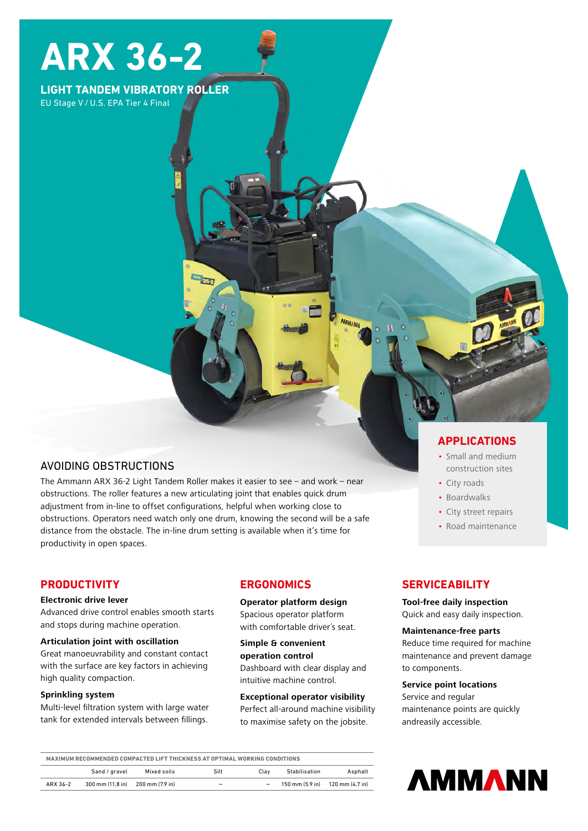# **ARX 36-2**

## **LIGHT TANDEM VIBRATORY ROLLER**

EU Stage V / U.S. EPA Tier 4 Final

## AVOIDING OBSTRUCTIONS

The Ammann ARX 36-2 Light Tandem Roller makes it easier to see – and work – near obstructions. The roller features a new articulating joint that enables quick drum adjustment from in-line to offset configurations, helpful when working close to obstructions. Operators need watch only one drum, knowing the second will be a safe distance from the obstacle. The in-line drum setting is available when it's time for productivity in open spaces.

## **PRODUCTIVITY**

#### **Electronic drive lever**

Advanced drive control enables smooth starts and stops during machine operation.

#### **Articulation joint with oscillation**

Great manoeuvrability and constant contact with the surface are key factors in achieving high quality compaction.

#### **Sprinkling system**

Multi-level filtration system with large water tank for extended intervals between fillings.

## **ERGONOMICS**

**Operator platform design** Spacious operator platform with comfortable driver's seat.

## **Simple & convenient operation control**

Dashboard with clear display and intuitive machine control.

#### **Exceptional operator visibility**

Perfect all-around machine visibility to maximise safety on the jobsite.

## **APPLICATIONS**

- Small and medium construction sites
- City roads
- Boardwalks
- City street repairs
- Road maintenance

## **SERVICEABILITY**

#### **Tool-free daily inspection**

Quick and easy daily inspection.

#### **Maintenance-free parts**

Reduce time required for machine maintenance and prevent damage to components.

#### **Service point locations**

Service and regular maintenance points are quickly andreasily accessible.

| MAXIMUM RECOMMENDED COMPACTED LIFT THICKNESS AT OPTIMAL WORKING CONDITIONS |                  |                 |                          |      |               |                                                                     |
|----------------------------------------------------------------------------|------------------|-----------------|--------------------------|------|---------------|---------------------------------------------------------------------|
|                                                                            | Sand / gravel    | Mixed soils     | Silt                     | Clav | Stabilisation | Asphalt                                                             |
| ARX 36-2                                                                   | 300 mm (11.8 in) | 200 mm (7.9 in) | $\overline{\phantom{a}}$ | -    |               | $150 \text{ mm} (5.9 \text{ in})$ $120 \text{ mm} (4.7 \text{ in})$ |